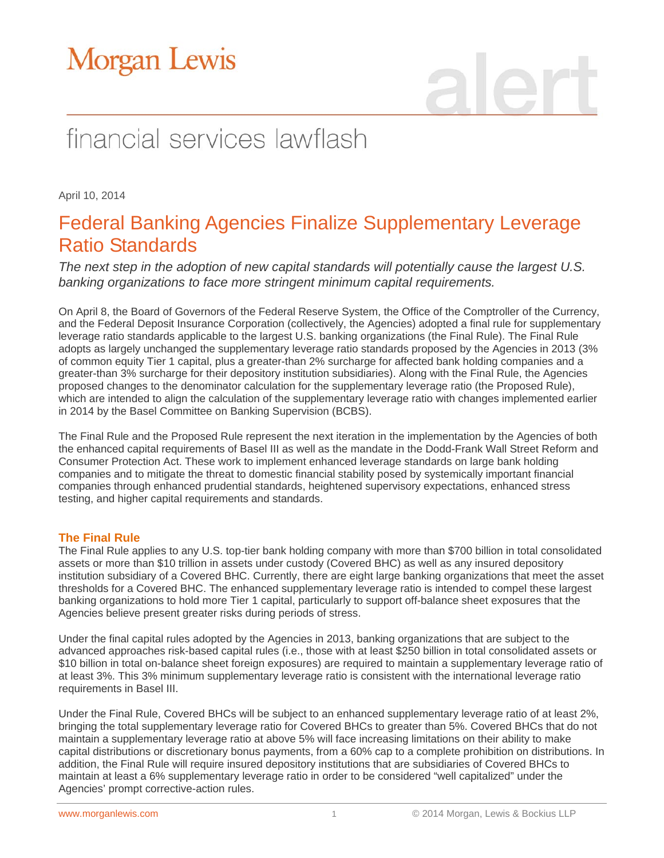# Morgan Lewis

# financial services lawflash

April 10, 2014

### Federal Banking Agencies Finalize Supplementary Leverage Ratio Standards

*The next step in the adoption of new capital standards will potentially cause the largest U.S. banking organizations to face more stringent minimum capital requirements.* 

On April 8, the Board of Governors of the Federal Reserve System, the Office of the Comptroller of the Currency, and the Federal Deposit Insurance Corporation (collectively, the Agencies) adopted a final rule for supplementary leverage ratio standards applicable to the largest U.S. banking organizations (the Final Rule). The Final Rule adopts as largely unchanged the supplementary leverage ratio standards proposed by the Agencies in 2013 (3% of common equity Tier 1 capital, plus a greater-than 2% surcharge for affected bank holding companies and a greater-than 3% surcharge for their depository institution subsidiaries). Along with the Final Rule, the Agencies proposed changes to the denominator calculation for the supplementary leverage ratio (the Proposed Rule), which are intended to align the calculation of the supplementary leverage ratio with changes implemented earlier in 2014 by the Basel Committee on Banking Supervision (BCBS).

The Final Rule and the Proposed Rule represent the next iteration in the implementation by the Agencies of both the enhanced capital requirements of Basel III as well as the mandate in the Dodd-Frank Wall Street Reform and Consumer Protection Act. These work to implement enhanced leverage standards on large bank holding companies and to mitigate the threat to domestic financial stability posed by systemically important financial companies through enhanced prudential standards, heightened supervisory expectations, enhanced stress testing, and higher capital requirements and standards.

### **The Final Rule**

The Final Rule applies to any U.S. top-tier bank holding company with more than \$700 billion in total consolidated assets or more than \$10 trillion in assets under custody (Covered BHC) as well as any insured depository institution subsidiary of a Covered BHC. Currently, there are eight large banking organizations that meet the asset thresholds for a Covered BHC. The enhanced supplementary leverage ratio is intended to compel these largest banking organizations to hold more Tier 1 capital, particularly to support off-balance sheet exposures that the Agencies believe present greater risks during periods of stress.

Under the final capital rules adopted by the Agencies in 2013, banking organizations that are subject to the advanced approaches risk-based capital rules (i.e., those with at least \$250 billion in total consolidated assets or \$10 billion in total on-balance sheet foreign exposures) are required to maintain a supplementary leverage ratio of at least 3%. This 3% minimum supplementary leverage ratio is consistent with the international leverage ratio requirements in Basel III.

Under the Final Rule, Covered BHCs will be subject to an enhanced supplementary leverage ratio of at least 2%, bringing the total supplementary leverage ratio for Covered BHCs to greater than 5%. Covered BHCs that do not maintain a supplementary leverage ratio at above 5% will face increasing limitations on their ability to make capital distributions or discretionary bonus payments, from a 60% cap to a complete prohibition on distributions. In addition, the Final Rule will require insured depository institutions that are subsidiaries of Covered BHCs to maintain at least a 6% supplementary leverage ratio in order to be considered "well capitalized" under the Agencies' prompt corrective-action rules.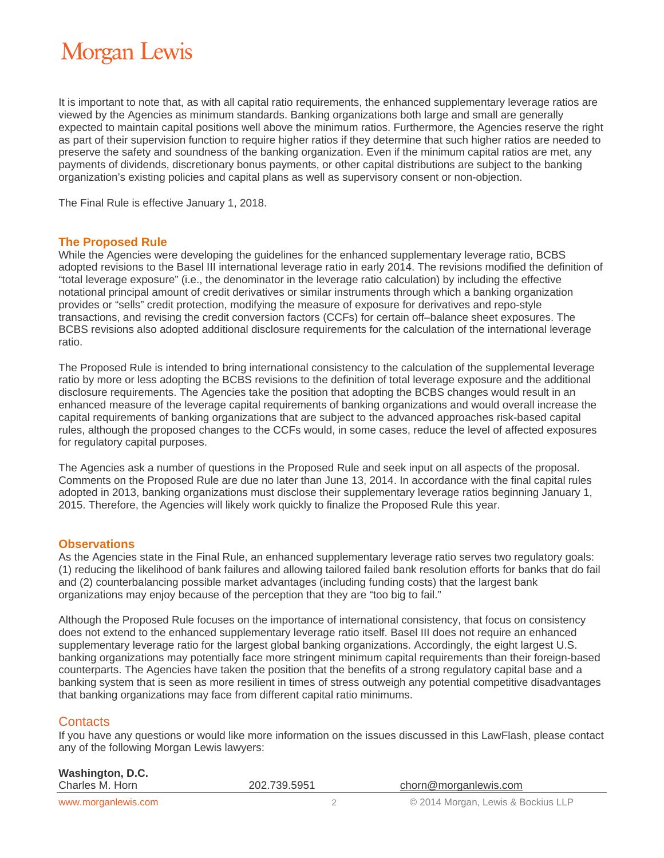## **Morgan Lewis**

It is important to note that, as with all capital ratio requirements, the enhanced supplementary leverage ratios are viewed by the Agencies as minimum standards. Banking organizations both large and small are generally expected to maintain capital positions well above the minimum ratios. Furthermore, the Agencies reserve the right as part of their supervision function to require higher ratios if they determine that such higher ratios are needed to preserve the safety and soundness of the banking organization. Even if the minimum capital ratios are met, any payments of dividends, discretionary bonus payments, or other capital distributions are subject to the banking organization's existing policies and capital plans as well as supervisory consent or non-objection.

The Final Rule is effective January 1, 2018.

#### **The Proposed Rule**

While the Agencies were developing the guidelines for the enhanced supplementary leverage ratio, BCBS adopted revisions to the Basel III international leverage ratio in early 2014. The revisions modified the definition of "total leverage exposure" (i.e., the denominator in the leverage ratio calculation) by including the effective notational principal amount of credit derivatives or similar instruments through which a banking organization provides or "sells" credit protection, modifying the measure of exposure for derivatives and repo-style transactions, and revising the credit conversion factors (CCFs) for certain off–balance sheet exposures. The BCBS revisions also adopted additional disclosure requirements for the calculation of the international leverage ratio.

The Proposed Rule is intended to bring international consistency to the calculation of the supplemental leverage ratio by more or less adopting the BCBS revisions to the definition of total leverage exposure and the additional disclosure requirements. The Agencies take the position that adopting the BCBS changes would result in an enhanced measure of the leverage capital requirements of banking organizations and would overall increase the capital requirements of banking organizations that are subject to the advanced approaches risk-based capital rules, although the proposed changes to the CCFs would, in some cases, reduce the level of affected exposures for regulatory capital purposes.

The Agencies ask a number of questions in the Proposed Rule and seek input on all aspects of the proposal. Comments on the Proposed Rule are due no later than June 13, 2014. In accordance with the final capital rules adopted in 2013, banking organizations must disclose their supplementary leverage ratios beginning January 1, 2015. Therefore, the Agencies will likely work quickly to finalize the Proposed Rule this year.

#### **Observations**

As the Agencies state in the Final Rule, an enhanced supplementary leverage ratio serves two regulatory goals: (1) reducing the likelihood of bank failures and allowing tailored failed bank resolution efforts for banks that do fail and (2) counterbalancing possible market advantages (including funding costs) that the largest bank organizations may enjoy because of the perception that they are "too big to fail."

Although the Proposed Rule focuses on the importance of international consistency, that focus on consistency does not extend to the enhanced supplementary leverage ratio itself. Basel III does not require an enhanced supplementary leverage ratio for the largest global banking organizations. Accordingly, the eight largest U.S. banking organizations may potentially face more stringent minimum capital requirements than their foreign-based counterparts. The Agencies have taken the position that the benefits of a strong regulatory capital base and a banking system that is seen as more resilient in times of stress outweigh any potential competitive disadvantages that banking organizations may face from different capital ratio minimums.

### **Contacts**

If you have any questions or would like more information on the issues discussed in this LawFlash, please contact any of the following Morgan Lewis lawyers:

| Washington, D.C.<br>Charles M. Horn | 202.739.5951 | chorn@morganlewis.com              |
|-------------------------------------|--------------|------------------------------------|
| www.morganlewis.com                 |              | © 2014 Morgan, Lewis & Bockius LLP |